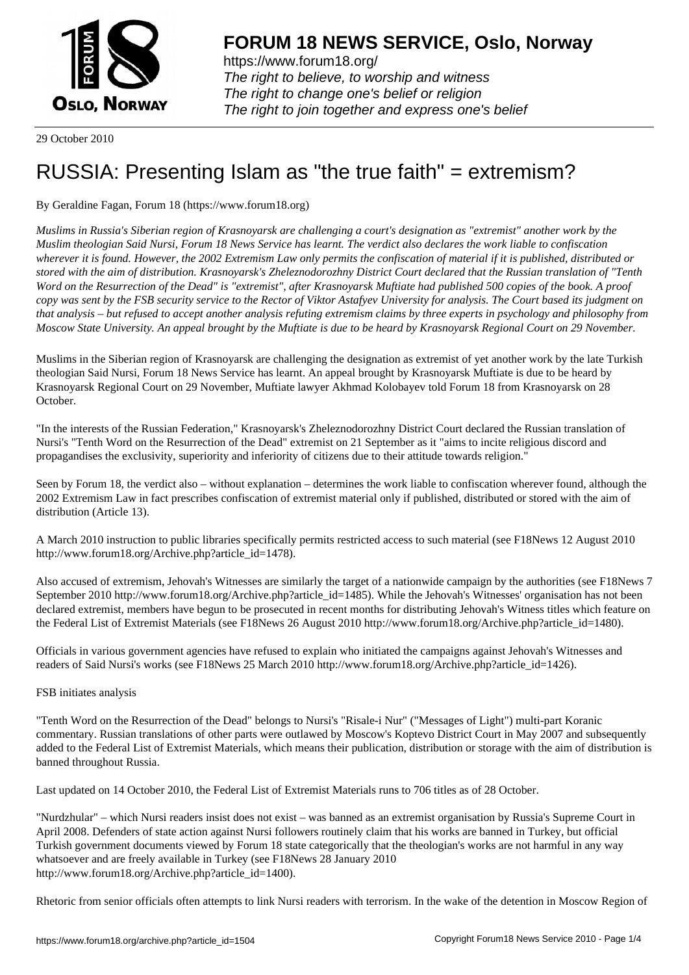

https://www.forum18.org/ The right to believe, to worship and witness The right to change one's belief or religion [The right to join together a](https://www.forum18.org/)nd express one's belief

29 October 2010

# [RUSSIA: Prese](https://www.forum18.org)nting Islam as "the true faith" = extremism?

# By Geraldine Fagan, Forum 18 (https://www.forum18.org)

*Muslims in Russia's Siberian region of Krasnoyarsk are challenging a court's designation as "extremist" another work by the Muslim theologian Said Nursi, Forum 18 News Service has learnt. The verdict also declares the work liable to confiscation wherever it is found. However, the 2002 Extremism Law only permits the confiscation of material if it is published, distributed or stored with the aim of distribution. Krasnoyarsk's Zheleznodorozhny District Court declared that the Russian translation of "Tenth Word on the Resurrection of the Dead" is "extremist", after Krasnoyarsk Muftiate had published 500 copies of the book. A proof copy was sent by the FSB security service to the Rector of Viktor Astafyev University for analysis. The Court based its judgment on that analysis – but refused to accept another analysis refuting extremism claims by three experts in psychology and philosophy from Moscow State University. An appeal brought by the Muftiate is due to be heard by Krasnoyarsk Regional Court on 29 November.*

Muslims in the Siberian region of Krasnoyarsk are challenging the designation as extremist of yet another work by the late Turkish theologian Said Nursi, Forum 18 News Service has learnt. An appeal brought by Krasnoyarsk Muftiate is due to be heard by Krasnoyarsk Regional Court on 29 November, Muftiate lawyer Akhmad Kolobayev told Forum 18 from Krasnoyarsk on 28 October.

"In the interests of the Russian Federation," Krasnoyarsk's Zheleznodorozhny District Court declared the Russian translation of Nursi's "Tenth Word on the Resurrection of the Dead" extremist on 21 September as it "aims to incite religious discord and propagandises the exclusivity, superiority and inferiority of citizens due to their attitude towards religion."

Seen by Forum 18, the verdict also – without explanation – determines the work liable to confiscation wherever found, although the 2002 Extremism Law in fact prescribes confiscation of extremist material only if published, distributed or stored with the aim of distribution (Article 13).

A March 2010 instruction to public libraries specifically permits restricted access to such material (see F18News 12 August 2010 http://www.forum18.org/Archive.php?article\_id=1478).

Also accused of extremism, Jehovah's Witnesses are similarly the target of a nationwide campaign by the authorities (see F18News 7 September 2010 http://www.forum18.org/Archive.php?article\_id=1485). While the Jehovah's Witnesses' organisation has not been declared extremist, members have begun to be prosecuted in recent months for distributing Jehovah's Witness titles which feature on the Federal List of Extremist Materials (see F18News 26 August 2010 http://www.forum18.org/Archive.php?article\_id=1480).

Officials in various government agencies have refused to explain who initiated the campaigns against Jehovah's Witnesses and readers of Said Nursi's works (see F18News 25 March 2010 http://www.forum18.org/Archive.php?article\_id=1426).

## FSB initiates analysis

"Tenth Word on the Resurrection of the Dead" belongs to Nursi's "Risale-i Nur" ("Messages of Light") multi-part Koranic commentary. Russian translations of other parts were outlawed by Moscow's Koptevo District Court in May 2007 and subsequently added to the Federal List of Extremist Materials, which means their publication, distribution or storage with the aim of distribution is banned throughout Russia.

Last updated on 14 October 2010, the Federal List of Extremist Materials runs to 706 titles as of 28 October.

"Nurdzhular" – which Nursi readers insist does not exist – was banned as an extremist organisation by Russia's Supreme Court in April 2008. Defenders of state action against Nursi followers routinely claim that his works are banned in Turkey, but official Turkish government documents viewed by Forum 18 state categorically that the theologian's works are not harmful in any way whatsoever and are freely available in Turkey (see F18News 28 January 2010 http://www.forum18.org/Archive.php?article\_id=1400).

Rhetoric from senior officials often attempts to link Nursi readers with terrorism. In the wake of the detention in Moscow Region of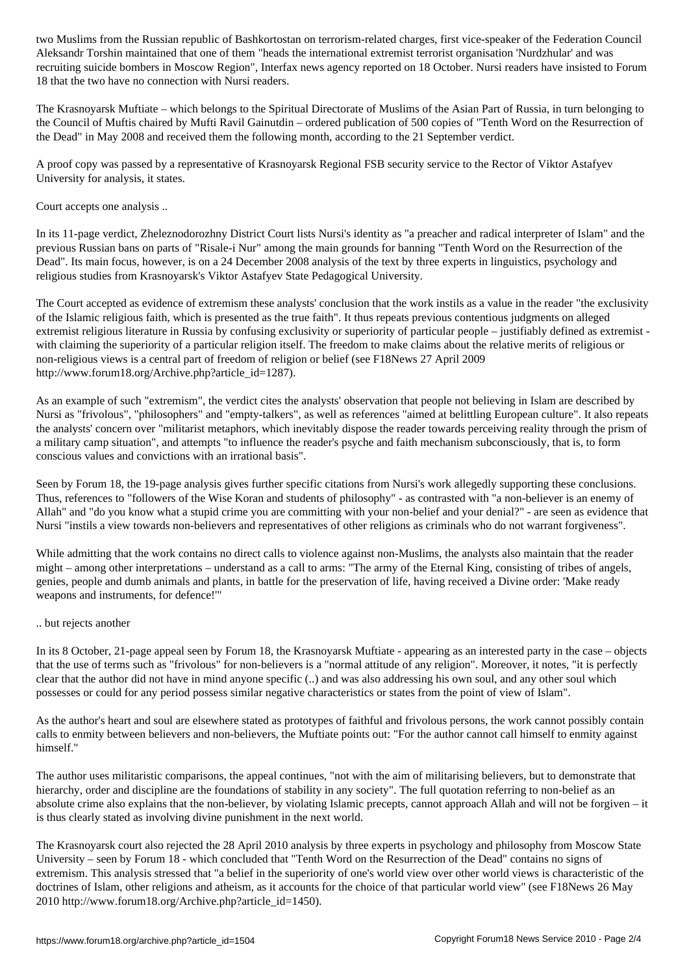Aleksandr Torshin maintained that one of the international extremist terrorist organisation  $\omega$ recruiting suicide bombers in Moscow Region", Interfax news agency reported on 18 October. Nursi readers have insisted to Forum 18 that the two have no connection with Nursi readers.

The Krasnoyarsk Muftiate – which belongs to the Spiritual Directorate of Muslims of the Asian Part of Russia, in turn belonging to the Council of Muftis chaired by Mufti Ravil Gainutdin – ordered publication of 500 copies of "Tenth Word on the Resurrection of the Dead" in May 2008 and received them the following month, according to the 21 September verdict.

A proof copy was passed by a representative of Krasnoyarsk Regional FSB security service to the Rector of Viktor Astafyev University for analysis, it states.

Court accepts one analysis ..

In its 11-page verdict, Zheleznodorozhny District Court lists Nursi's identity as "a preacher and radical interpreter of Islam" and the previous Russian bans on parts of "Risale-i Nur" among the main grounds for banning "Tenth Word on the Resurrection of the Dead". Its main focus, however, is on a 24 December 2008 analysis of the text by three experts in linguistics, psychology and religious studies from Krasnoyarsk's Viktor Astafyev State Pedagogical University.

The Court accepted as evidence of extremism these analysts' conclusion that the work instils as a value in the reader "the exclusivity of the Islamic religious faith, which is presented as the true faith". It thus repeats previous contentious judgments on alleged extremist religious literature in Russia by confusing exclusivity or superiority of particular people – justifiably defined as extremist with claiming the superiority of a particular religion itself. The freedom to make claims about the relative merits of religious or non-religious views is a central part of freedom of religion or belief (see F18News 27 April 2009 http://www.forum18.org/Archive.php?article\_id=1287).

As an example of such "extremism", the verdict cites the analysts' observation that people not believing in Islam are described by Nursi as "frivolous", "philosophers" and "empty-talkers", as well as references "aimed at belittling European culture". It also repeats the analysts' concern over "militarist metaphors, which inevitably dispose the reader towards perceiving reality through the prism of a military camp situation", and attempts "to influence the reader's psyche and faith mechanism subconsciously, that is, to form conscious values and convictions with an irrational basis".

Seen by Forum 18, the 19-page analysis gives further specific citations from Nursi's work allegedly supporting these conclusions. Thus, references to "followers of the Wise Koran and students of philosophy" - as contrasted with "a non-believer is an enemy of Allah" and "do you know what a stupid crime you are committing with your non-belief and your denial?" - are seen as evidence that Nursi "instils a view towards non-believers and representatives of other religions as criminals who do not warrant forgiveness".

While admitting that the work contains no direct calls to violence against non-Muslims, the analysts also maintain that the reader might – among other interpretations – understand as a call to arms: "The army of the Eternal King, consisting of tribes of angels, genies, people and dumb animals and plants, in battle for the preservation of life, having received a Divine order: 'Make ready weapons and instruments, for defence!'"

#### .. but rejects another

In its 8 October, 21-page appeal seen by Forum 18, the Krasnoyarsk Muftiate - appearing as an interested party in the case – objects that the use of terms such as "frivolous" for non-believers is a "normal attitude of any religion". Moreover, it notes, "it is perfectly clear that the author did not have in mind anyone specific (..) and was also addressing his own soul, and any other soul which possesses or could for any period possess similar negative characteristics or states from the point of view of Islam".

As the author's heart and soul are elsewhere stated as prototypes of faithful and frivolous persons, the work cannot possibly contain calls to enmity between believers and non-believers, the Muftiate points out: "For the author cannot call himself to enmity against himself."

The author uses militaristic comparisons, the appeal continues, "not with the aim of militarising believers, but to demonstrate that hierarchy, order and discipline are the foundations of stability in any society". The full quotation referring to non-belief as an absolute crime also explains that the non-believer, by violating Islamic precepts, cannot approach Allah and will not be forgiven – it is thus clearly stated as involving divine punishment in the next world.

The Krasnoyarsk court also rejected the 28 April 2010 analysis by three experts in psychology and philosophy from Moscow State University – seen by Forum 18 - which concluded that "Tenth Word on the Resurrection of the Dead" contains no signs of extremism. This analysis stressed that "a belief in the superiority of one's world view over other world views is characteristic of the doctrines of Islam, other religions and atheism, as it accounts for the choice of that particular world view" (see F18News 26 May 2010 http://www.forum18.org/Archive.php?article\_id=1450).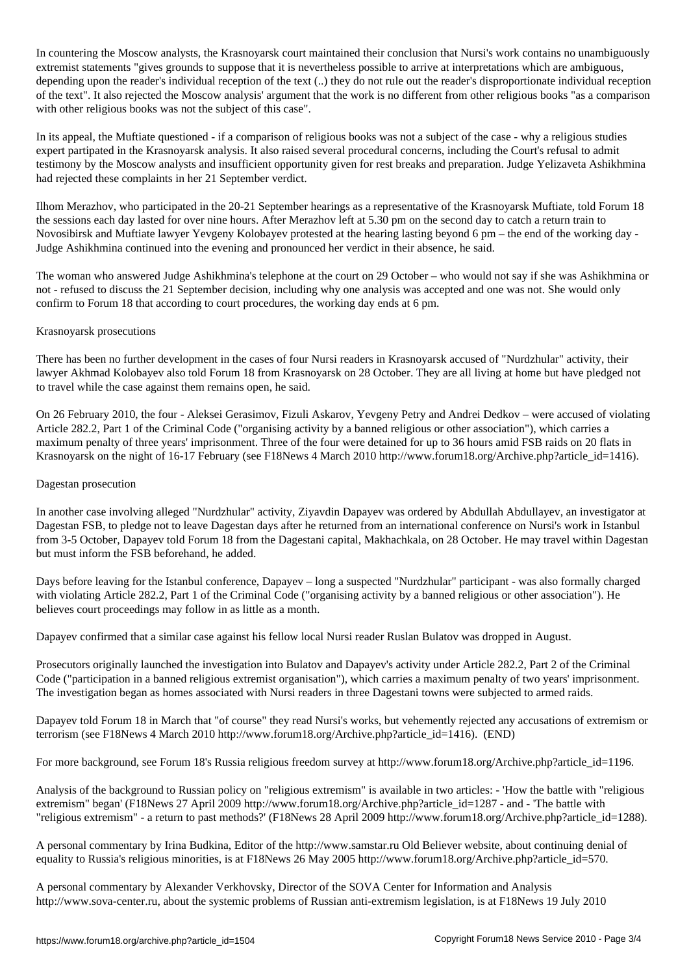In countering the Moscow analysts, the Krasnoyarsk court maintained their conclusion that Nursi's work contains no unambiguously extremist statements "gives grounds to suppose that it is nevertheless possible to arrive at interpretations which are ambiguous, depending upon the reader's individual reception of the text (..) they do not rule out the reader's disproportionate individual reception of the text". It also rejected the Moscow analysis' argument that the work is no different from other religious books "as a comparison with other religious books was not the subject of this case".

In its appeal, the Muftiate questioned - if a comparison of religious books was not a subject of the case - why a religious studies expert partipated in the Krasnoyarsk analysis. It also raised several procedural concerns, including the Court's refusal to admit testimony by the Moscow analysts and insufficient opportunity given for rest breaks and preparation. Judge Yelizaveta Ashikhmina had rejected these complaints in her 21 September verdict.

Ilhom Merazhov, who participated in the 20-21 September hearings as a representative of the Krasnoyarsk Muftiate, told Forum 18 the sessions each day lasted for over nine hours. After Merazhov left at 5.30 pm on the second day to catch a return train to Novosibirsk and Muftiate lawyer Yevgeny Kolobayev protested at the hearing lasting beyond 6 pm – the end of the working day - Judge Ashikhmina continued into the evening and pronounced her verdict in their absence, he said.

The woman who answered Judge Ashikhmina's telephone at the court on 29 October – who would not say if she was Ashikhmina or not - refused to discuss the 21 September decision, including why one analysis was accepted and one was not. She would only confirm to Forum 18 that according to court procedures, the working day ends at 6 pm.

## Krasnoyarsk prosecutions

There has been no further development in the cases of four Nursi readers in Krasnoyarsk accused of "Nurdzhular" activity, their lawyer Akhmad Kolobayev also told Forum 18 from Krasnoyarsk on 28 October. They are all living at home but have pledged not to travel while the case against them remains open, he said.

On 26 February 2010, the four - Aleksei Gerasimov, Fizuli Askarov, Yevgeny Petry and Andrei Dedkov – were accused of violating Article 282.2, Part 1 of the Criminal Code ("organising activity by a banned religious or other association"), which carries a maximum penalty of three years' imprisonment. Three of the four were detained for up to 36 hours amid FSB raids on 20 flats in Krasnoyarsk on the night of 16-17 February (see F18News 4 March 2010 http://www.forum18.org/Archive.php?article\_id=1416).

## Dagestan prosecution

In another case involving alleged "Nurdzhular" activity, Ziyavdin Dapayev was ordered by Abdullah Abdullayev, an investigator at Dagestan FSB, to pledge not to leave Dagestan days after he returned from an international conference on Nursi's work in Istanbul from 3-5 October, Dapayev told Forum 18 from the Dagestani capital, Makhachkala, on 28 October. He may travel within Dagestan but must inform the FSB beforehand, he added.

Days before leaving for the Istanbul conference, Dapayev – long a suspected "Nurdzhular" participant - was also formally charged with violating Article 282.2, Part 1 of the Criminal Code ("organising activity by a banned religious or other association"). He believes court proceedings may follow in as little as a month.

Dapayev confirmed that a similar case against his fellow local Nursi reader Ruslan Bulatov was dropped in August.

Prosecutors originally launched the investigation into Bulatov and Dapayev's activity under Article 282.2, Part 2 of the Criminal Code ("participation in a banned religious extremist organisation"), which carries a maximum penalty of two years' imprisonment. The investigation began as homes associated with Nursi readers in three Dagestani towns were subjected to armed raids.

Dapayev told Forum 18 in March that "of course" they read Nursi's works, but vehemently rejected any accusations of extremism or terrorism (see F18News 4 March 2010 http://www.forum18.org/Archive.php?article\_id=1416). (END)

For more background, see Forum 18's Russia religious freedom survey at http://www.forum18.org/Archive.php?article\_id=1196.

Analysis of the background to Russian policy on "religious extremism" is available in two articles: - 'How the battle with "religious extremism" began' (F18News 27 April 2009 http://www.forum18.org/Archive.php?article\_id=1287 - and - 'The battle with "religious extremism" - a return to past methods?' (F18News 28 April 2009 http://www.forum18.org/Archive.php?article\_id=1288).

A personal commentary by Irina Budkina, Editor of the http://www.samstar.ru Old Believer website, about continuing denial of equality to Russia's religious minorities, is at F18News 26 May 2005 http://www.forum18.org/Archive.php?article\_id=570.

A personal commentary by Alexander Verkhovsky, Director of the SOVA Center for Information and Analysis http://www.sova-center.ru, about the systemic problems of Russian anti-extremism legislation, is at F18News 19 July 2010